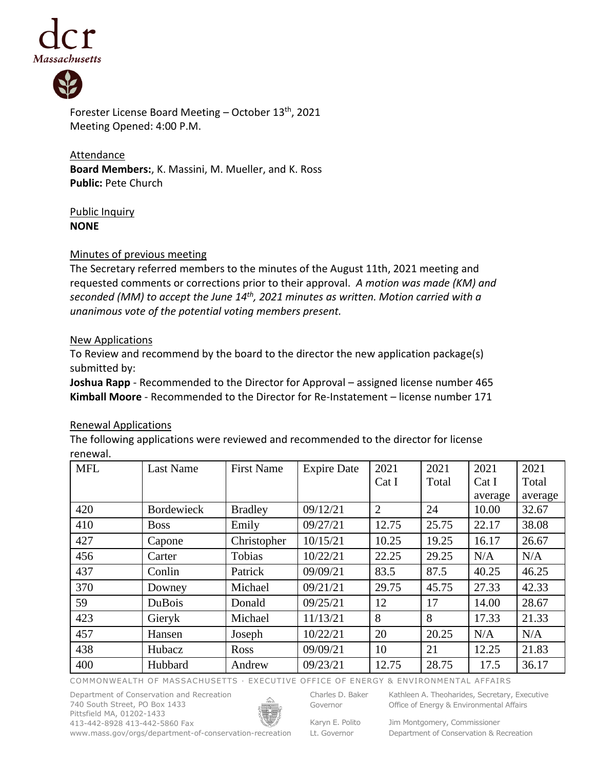



Forester License Board Meeting - October 13<sup>th</sup>, 2021 Meeting Opened: 4:00 P.M.

**Attendance Board Members:**, K. Massini, M. Mueller, and K. Ross **Public:** Pete Church

Public Inquiry **NONE**

## Minutes of previous meeting

The Secretary referred members to the minutes of the August 11th, 2021 meeting and requested comments or corrections prior to their approval. *A motion was made (KM) and seconded (MM) to accept the June 14th , 2021 minutes as written. Motion carried with a unanimous vote of the potential voting members present.*

## New Applications

To Review and recommend by the board to the director the new application package(s) submitted by:

**Joshua Rapp** - Recommended to the Director for Approval – assigned license number 465 **Kimball Moore** - Recommended to the Director for Re-Instatement – license number 171

## Renewal Applications

The following applications were reviewed and recommended to the director for license renewal.

| <b>MFL</b> | <b>Last Name</b>  | <b>First Name</b> | <b>Expire Date</b> | 2021           | 2021  | 2021    | 2021    |
|------------|-------------------|-------------------|--------------------|----------------|-------|---------|---------|
|            |                   |                   |                    | Cat I          | Total | Cat I   | Total   |
|            |                   |                   |                    |                |       | average | average |
| 420        | <b>Bordewieck</b> | <b>Bradley</b>    | 09/12/21           | $\overline{2}$ | 24    | 10.00   | 32.67   |
| 410        | <b>Boss</b>       | Emily             | 09/27/21           | 12.75          | 25.75 | 22.17   | 38.08   |
| 427        | Capone            | Christopher       | 10/15/21           | 10.25          | 19.25 | 16.17   | 26.67   |
| 456        | Carter            | Tobias            | 10/22/21           | 22.25          | 29.25 | N/A     | N/A     |
| 437        | Conlin            | Patrick           | 09/09/21           | 83.5           | 87.5  | 40.25   | 46.25   |
| 370        | Downey            | Michael           | 09/21/21           | 29.75          | 45.75 | 27.33   | 42.33   |
| 59         | <b>DuBois</b>     | Donald            | 09/25/21           | 12             | 17    | 14.00   | 28.67   |
| 423        | Gieryk            | Michael           | 11/13/21           | 8              | 8     | 17.33   | 21.33   |
| 457        | Hansen            | Joseph            | 10/22/21           | 20             | 20.25 | N/A     | N/A     |
| 438        | Hubacz            | Ross              | 09/09/21           | 10             | 21    | 12.25   | 21.83   |
| 400        | Hubbard           | Andrew            | 09/23/21           | 12.75          | 28.75 | 17.5    | 36.17   |

COMMONWEALTH OF MASSACHUSETTS · EXECUTIVE OFFICE OF ENERGY & ENVIRONMENTAL AFFAIRS

Department of Conservation and Recreation 740 South Street, PO Box 1433 Pittsfield MA, 01202-1433 413-442-8928 413-442-5860 Fax



Charles D. Baker Governor

Karyn E. Polito

Kathleen A. Theoharides, Secretary, Executive Office of Energy & Environmental Affairs

www.mass.gov/orgs/department-of-conservation-recreation Lt. Governor Jim Montgomery, Commissioner Department of Conservation & Recreation